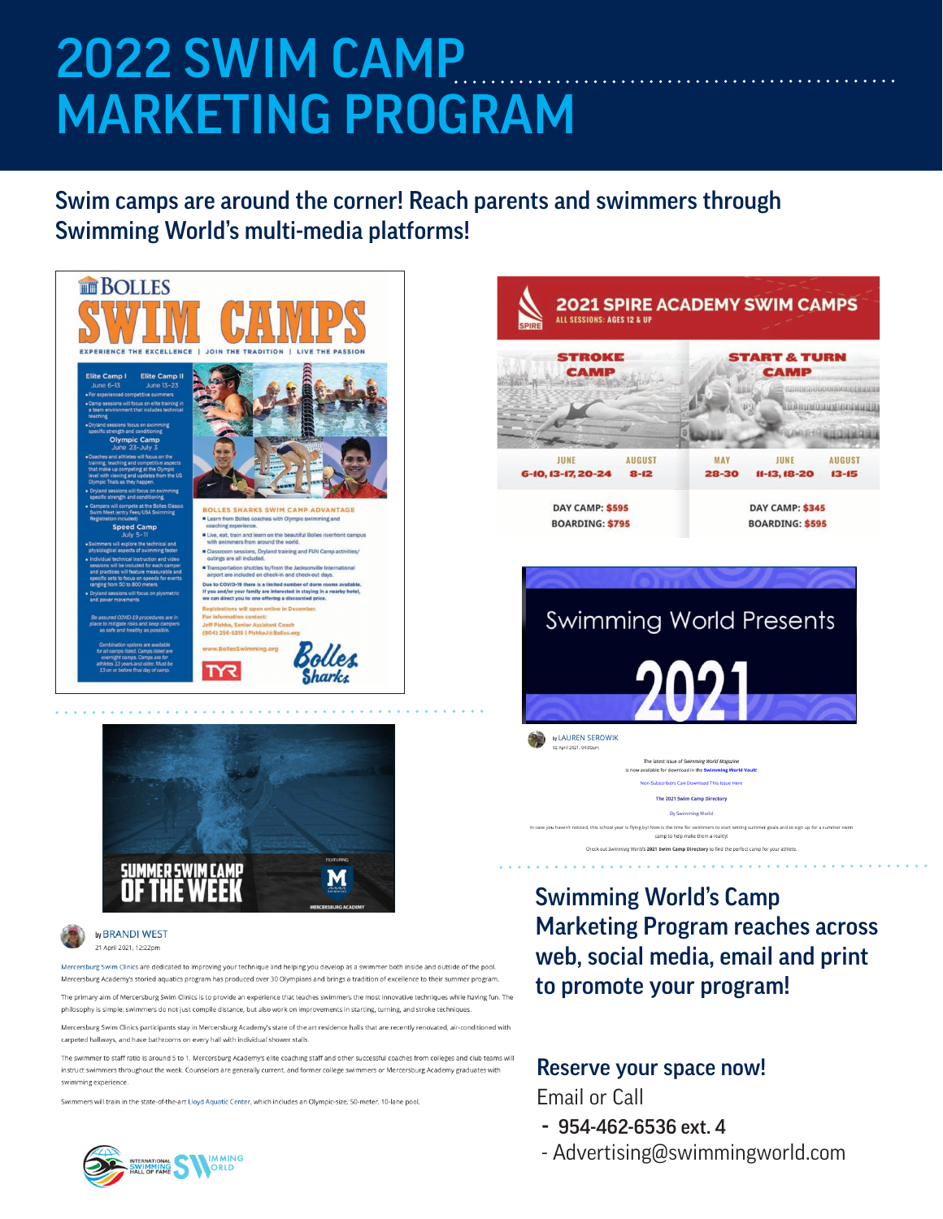# 2022 SWIM CAMP MARKETING PROGRAM

Swim camps are around the corner! Reach parents and swimmers through Swimming World's multi-media platforms!





#### by BRANDI WEST 21 April 2021, 12:22pm

wim Clinics are dedicated to improving your technique and helping you develop as a swim Mercersburg Academy's storied aquatics program has produced over 30 Olympians and brings a tradition of excellence to their summer program.

The primary aim of Mercersburg Swim Clinics is to provide an experience that teaches swimmers the most innovative techniques while having fun. The philosophy is simple; swimmers do not just compile distance, but also work on improvements in starting, turning, and stroke techniques

Mercersburg Swim Clinics participants stay in Mercersburg Academy's state of the art residence halls that are recently renovated, air-conditioned w carpeted hallways, and have bathrooms on every hall with individual shower stalls

The swimmer to staff ratio is around 5 to 1. Mercersburg Academy's elite coaching staff and other successful coaches from colleges and club teams will instruct swimmers throughout the week. Counselors are generally current, and former college swimmers or Mercersburg Academy graduates with swimming experience.

Swimmers will train in the state-of-the-art Lloyd Aquatic Center, which includes an Olympic-size, 50-meter, 10-lane pool





Swimming World's Camp Marketing Program reaches across web, social media, email and print to promote your program!

scribers Can Download This Issue Her The 2021 Swim Camp Directory

camp to help make them a reality! Check out Swimming World's 2021 Swim Camp Directory to find the perfect camp for your athlete

nmer goals and to sign up for a summe

### Reserve your space now!

vou haven't noticed, this school year is flying by! Now is the time for swimmers to start setting

Email or Call

- 954-462-6536 ext. 4
- Advertising@swimmingworld.com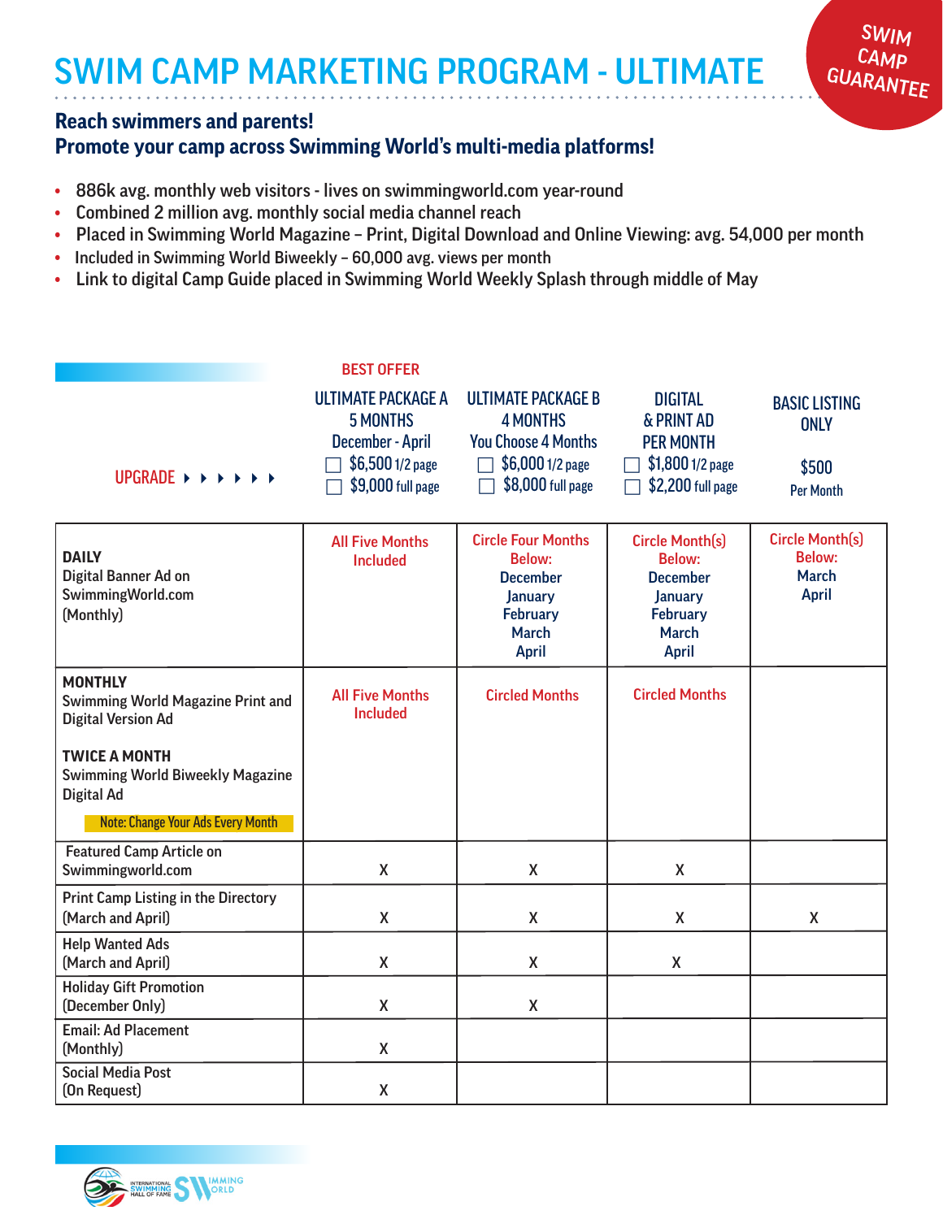## SWIM CAMP MARKETING PROGRAM - ULTIMATE

#### **Reach swimmers and parents!**

### **Promote your camp across Swimming World's multi-media platforms!**

- 886k avg. monthly web visitors lives on swimmingworld.com year-round
- Combined 2 million avg. monthly social media channel reach
- Placed in Swimming World Magazine Print, Digital Download and Online Viewing: avg. 54,000 per month

SWIM **CAMP** GUARANTEE

- Included in Swimming World Biweekly 60,000 avg. views per month
- Link to digital Camp Guide placed in Swimming World Weekly Splash through middle of May

|                                                                                         | <b>BEST OFFER</b>                                                                                         |                                                                                                                                    |                                                                                                                                 |                                                                         |
|-----------------------------------------------------------------------------------------|-----------------------------------------------------------------------------------------------------------|------------------------------------------------------------------------------------------------------------------------------------|---------------------------------------------------------------------------------------------------------------------------------|-------------------------------------------------------------------------|
| UPGRADE $\rightarrow$ $\rightarrow$ $\rightarrow$ $\rightarrow$ $\rightarrow$           | <b>ULTIMATE PACKAGE A</b><br><b>5 MONTHS</b><br>December - April<br>\$6,500 1/2 page<br>\$9,000 full page | <b>ULTIMATE PACKAGE B</b><br><b>4 MONTHS</b><br><b>You Choose 4 Months</b><br>\$6,000 1/2 page<br>\$8,000 full page                | <b>DIGITAL</b><br>& PRINT AD<br><b>PER MONTH</b><br>\$1,800 1/2 page<br>\$2,200 full page                                       | <b>BASIC LISTING</b><br><b>ONLY</b><br>\$500<br><b>Per Month</b>        |
| <b>DAILY</b><br>Digital Banner Ad on<br>SwimmingWorld.com<br>(Monthly)                  | <b>All Five Months</b><br><b>Included</b>                                                                 | <b>Circle Four Months</b><br><b>Below:</b><br><b>December</b><br><b>January</b><br><b>February</b><br><b>March</b><br><b>April</b> | <b>Circle Month(s)</b><br><b>Below:</b><br><b>December</b><br><b>January</b><br><b>February</b><br><b>March</b><br><b>April</b> | <b>Circle Month(s)</b><br><b>Below:</b><br><b>March</b><br><b>April</b> |
| <b>MONTHLY</b><br><b>Swimming World Magazine Print and</b><br><b>Digital Version Ad</b> | <b>All Five Months</b><br><b>Included</b>                                                                 | <b>Circled Months</b>                                                                                                              | <b>Circled Months</b>                                                                                                           |                                                                         |
| <b>TWICE A MONTH</b><br><b>Swimming World Biweekly Magazine</b><br><b>Digital Ad</b>    |                                                                                                           |                                                                                                                                    |                                                                                                                                 |                                                                         |
| <b>Note: Change Your Ads Every Month</b>                                                |                                                                                                           |                                                                                                                                    |                                                                                                                                 |                                                                         |
| <b>Featured Camp Article on</b><br>Swimmingworld.com                                    | $\mathsf{X}$                                                                                              | X                                                                                                                                  | X                                                                                                                               |                                                                         |
| <b>Print Camp Listing in the Directory</b><br>(March and April)                         | X                                                                                                         | X                                                                                                                                  | X                                                                                                                               | X                                                                       |
| <b>Help Wanted Ads</b><br>(March and April)                                             | $\pmb{\mathsf{X}}$                                                                                        | X                                                                                                                                  | X                                                                                                                               |                                                                         |
| <b>Holiday Gift Promotion</b><br>(December Only)                                        | X                                                                                                         | X                                                                                                                                  |                                                                                                                                 |                                                                         |
| <b>Email: Ad Placement</b><br>(Monthly)                                                 | X                                                                                                         |                                                                                                                                    |                                                                                                                                 |                                                                         |
| <b>Social Media Post</b><br>(On Request)                                                | $\mathsf{X}$                                                                                              |                                                                                                                                    |                                                                                                                                 |                                                                         |